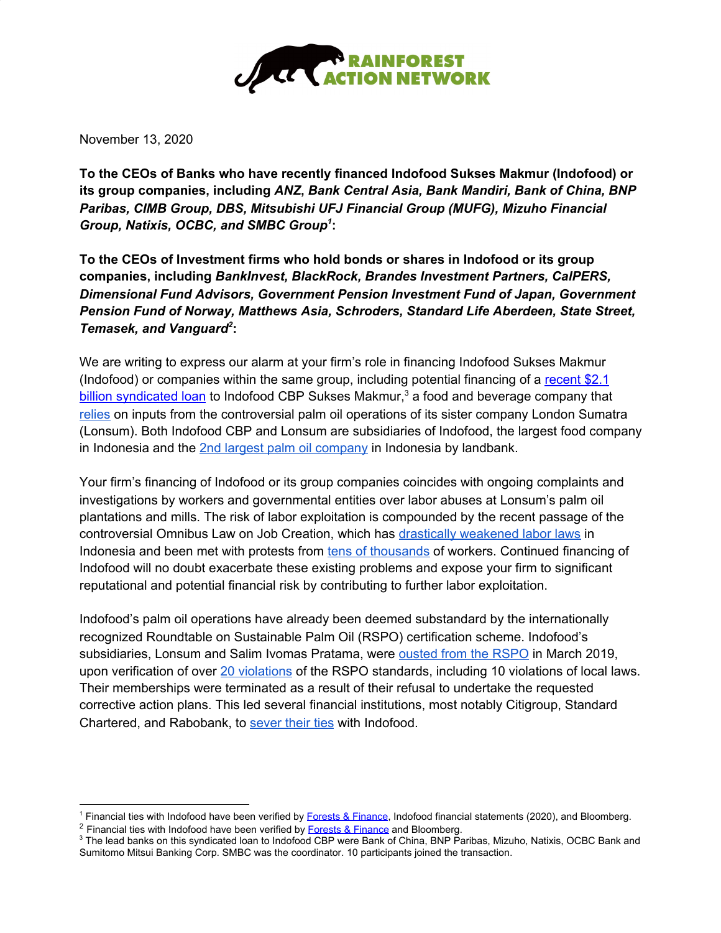

November 13, 2020

**To the CEOs of Banks who have recently financed Indofood Sukses Makmur (Indofood) or its group companies, including** *ANZ***,** *Bank Central Asia, Bank Mandiri, Bank of China, BNP Paribas, CIMB Group, DBS, Mitsubishi UFJ Financial Group (MUFG), Mizuho Financial Group, Natixis, OCBC, and SMBC Group 1* **:**

**To the CEOs of Investment firms who hold bonds or shares in Indofood or its group companies, including** *BankInvest, BlackRock, Brandes Investment Partners, CalPERS, Dimensional Fund Advisors, Government Pension Investment Fund of Japan, Government Pension Fund of Norway, Matthews Asia, Schroders, Standard Life Aberdeen, State Street, Temasek, and Vanguard 2* **:**

We are writing to express our alarm at your firm's role in financing Indofood Sukses Makmur (Indofood) or companies within the same group, including potential financing of a [recent](https://www.globalcapital.com/article/b1p2svn5xpxdk7/indofood-wraps-up-syndication-for-$2bn-acquisition-loan) \$2.1 billion [syndicated](https://www.globalcapital.com/article/b1p2svn5xpxdk7/indofood-wraps-up-syndication-for-$2bn-acquisition-loan) loan</u> to Indofood CBP Sukses Makmur,<sup>3</sup> a food and beverage company that [relies](https://www.indofoodcbp.com/uploads/annual/AR%20ICBP%202019%20(Web%20Version).pdf) on inputs from the controversial palm oil operations of its sister company London Sumatra (Lonsum). Both Indofood CBP and Lonsum are subsidiaries of Indofood, the largest food company in Indonesia and the 2nd largest palm oil [company](https://www.tuk.or.id/2019/03/08/tycoon-in-the-indonesian-palm-oil/?lang=en) in Indonesia by landbank.

Your firm's financing of Indofood or its group companies coincides with ongoing complaints and investigations by workers and governmental entities over labor abuses at Lonsum's palm oil plantations and mills. The risk of labor exploitation is compounded by the recent passage of the controversial Omnibus Law on Job Creation, which has drastically [weakened](https://www.hrw.org/news/2020/10/15/indonesia-new-law-hurts-workers-indigenous-groups#:~:text=The%20omnibus%20bill%20on%20job,and%20the%20country) labor laws in Indonesia and been met with protests from tens of [thousands](https://www.bbc.com/news/world-asia-54460090) of workers. Continued financing of Indofood will no doubt exacerbate these existing problems and expose your firm to significant reputational and potential financial risk by contributing to further labor exploitation.

Indofood's palm oil operations have already been deemed substandard by the internationally recognized Roundtable on Sustainable Palm Oil (RSPO) certification scheme. Indofood's subsidiaries, Lonsum and Salim Ivomas Pratama, were [ousted](https://www.rspo.org/news-and-events/news/rspo-secretariats-statement-on-complaints-panel-decision-regarding-pt-salim-ivomas-pratama-tbk) from the RSPO in March 2019, upon verification of over 20 [violations](https://ap8.salesforce.com/sfc/p/#90000000YoJi/a/90000000PYaf/6mJ.T1HSMNHdkSdhiOT8z3ldAHk8eJ6fHGUeIpz9jB0) of the RSPO standards, including 10 violations of local laws. Their memberships were terminated as a result of their refusal to undertake the requested corrective action plans. This led several financial institutions, most notably Citigroup, Standard Chartered, and Rabobank, to [sever](https://www.ran.org/the-understory/citi-divests-from-indofood/) their ties with Indofood.

<sup>&</sup>lt;sup>1</sup> Financial ties with Indofood have been verified by Forests & [Finance](https://forestsandfinance.org/), Indofood financial statements (2020), and Bloomberg.

 $2$  Financial ties with Indofood have been verified by **Forests & [Finance](https://forestsandfinance.org/)** and Bloomberg.

<sup>&</sup>lt;sup>3</sup> The lead banks on this syndicated loan to Indofood CBP were Bank of China, BNP Paribas, Mizuho, Natixis, OCBC Bank and Sumitomo Mitsui Banking Corp. SMBC was the coordinator. 10 participants joined the transaction.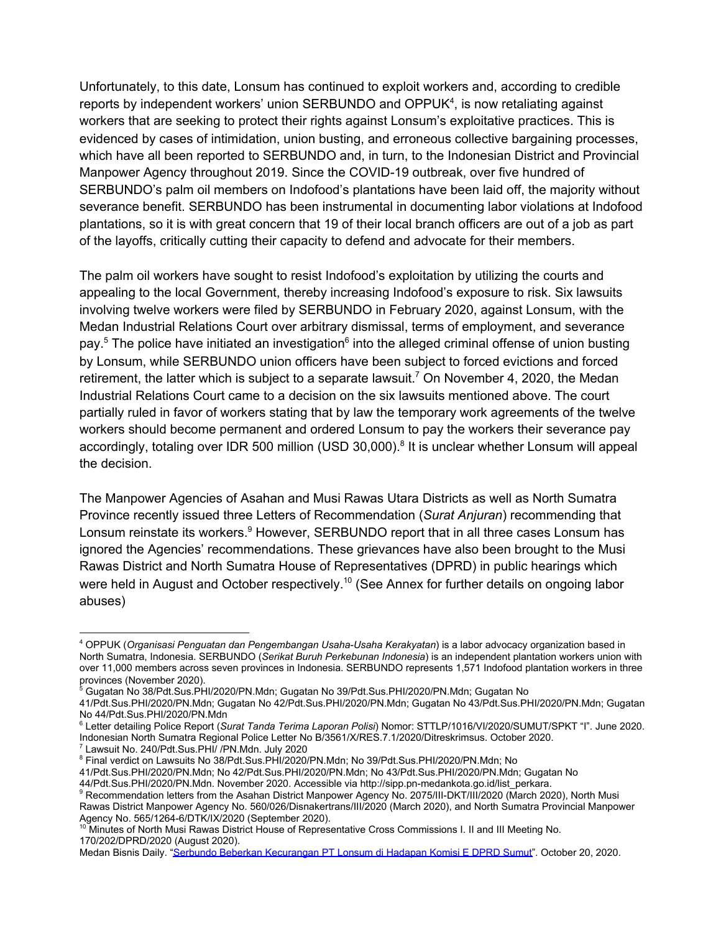Unfortunately, to this date, Lonsum has continued to exploit workers and, according to credible reports by independent workers' union SERBUNDO and OPPUK<sup>4</sup>, is now retaliating against workers that are seeking to protect their rights against Lonsum's exploitative practices. This is evidenced by cases of intimidation, union busting, and erroneous collective bargaining processes, which have all been reported to SERBUNDO and, in turn, to the Indonesian District and Provincial Manpower Agency throughout 2019. Since the COVID-19 outbreak, over five hundred of SERBUNDO's palm oil members on Indofood's plantations have been laid off, the majority without severance benefit. SERBUNDO has been instrumental in documenting labor violations at Indofood plantations, so it is with great concern that 19 of their local branch officers are out of a job as part of the layoffs, critically cutting their capacity to defend and advocate for their members.

The palm oil workers have sought to resist Indofood's exploitation by utilizing the courts and appealing to the local Government, thereby increasing Indofood's exposure to risk. Six lawsuits involving twelve workers were filed by SERBUNDO in February 2020, against Lonsum, with the Medan Industrial Relations Court over arbitrary dismissal, terms of employment, and severance pay.<sup>5</sup> The police have initiated an investigation<sup>6</sup> into the alleged criminal offense of union busting by Lonsum, while SERBUNDO union officers have been subject to forced evictions and forced retirement, the latter which is subject to a separate lawsuit.<sup>7</sup> On November 4, 2020, the Medan Industrial Relations Court came to a decision on the six lawsuits mentioned above. The court partially ruled in favor of workers stating that by law the temporary work agreements of the twelve workers should become permanent and ordered Lonsum to pay the workers their severance pay accordingly, totaling over IDR 500 million (USD 30,000).<sup>8</sup> It is unclear whether Lonsum will appeal the decision.

The Manpower Agencies of Asahan and Musi Rawas Utara Districts as well as North Sumatra Province recently issued three Letters of Recommendation (*Surat Anjuran*) recommending that Lonsum reinstate its workers.<sup>9</sup> However, SERBUNDO report that in all three cases Lonsum has ignored the Agencies' recommendations. These grievances have also been brought to the Musi Rawas District and North Sumatra House of Representatives (DPRD) in public hearings which were held in August and October respectively.<sup>10</sup> (See Annex for further details on ongoing labor abuses)

<sup>7</sup> Lawsuit No. 240/Pdt.Sus.PHI/ /PN.Mdn. July 2020

41/Pdt.Sus.PHI/2020/PN.Mdn; No 42/Pdt.Sus.PHI/2020/PN.Mdn; No 43/Pdt.Sus.PHI/2020/PN.Mdn; Gugatan No 44/Pdt.Sus.PHI/2020/PN.Mdn. November 2020. Accessible via http://sipp.pn-medankota.go.id/list\_perkara.

<sup>4</sup> OPPUK (*Organisasi Penguatan dan Pengembangan Usaha-Usaha Kerakyatan*) is a labor advocacy organization based in North Sumatra, Indonesia. SERBUNDO (*Serikat Buruh Perkebunan Indonesia*) is an independent plantation workers union with over 11,000 members across seven provinces in Indonesia. SERBUNDO represents 1,571 Indofood plantation workers in three provinces (November 2020).

<sup>5</sup> Gugatan No 38/Pdt.Sus.PHI/2020/PN.Mdn; Gugatan No 39/Pdt.Sus.PHI/2020/PN.Mdn; Gugatan No

<sup>41/</sup>Pdt.Sus.PHI/2020/PN.Mdn; Gugatan No 42/Pdt.Sus.PHI/2020/PN.Mdn; Gugatan No 43/Pdt.Sus.PHI/2020/PN.Mdn; Gugatan No 44/Pdt.Sus.PHI/2020/PN.Mdn

<sup>6</sup> Letter detailing Police Report (*Surat Tanda Terima Laporan Polisi*) Nomor: STTLP/1016/VI/2020/SUMUT/SPKT "I". June 2020. Indonesian North Sumatra Regional Police Letter No B/3561/X/RES.7.1/2020/Ditreskrimsus. October 2020.

<sup>&</sup>lt;sup>8</sup> Final verdict on Lawsuits No 38/Pdt.Sus.PHI/2020/PN.Mdn; No 39/Pdt.Sus.PHI/2020/PN.Mdn; No

<sup>&</sup>lt;sup>9</sup> Recommendation letters from the Asahan District Manpower Agency No. 2075/III-DKT/III/2020 (March 2020), North Musi Rawas District Manpower Agency No. 560/026/Disnakertrans/III/2020 (March 2020), and North Sumatra Provincial Manpower Agency No. 565/1264-6/DTK/IX/2020 (September 2020).

<sup>10</sup> Minutes of North Musi Rawas District House of Representative Cross Commissions I. II and III Meeting No. 170/202/DPRD/2020 (August 2020).

Medan Bisnis Daily. "Serbundo Beberkan [Kecurangan](https://medanbisnisdaily.com/news/online/read/2020/10/20/120512/serbundo_beberkan_kecurangan_pt_lonsum_di_hadapan_komisi_e_dprd_sumut/) PT Lonsum di Hadapan Komisi E DPRD Sumut". October 20, 2020.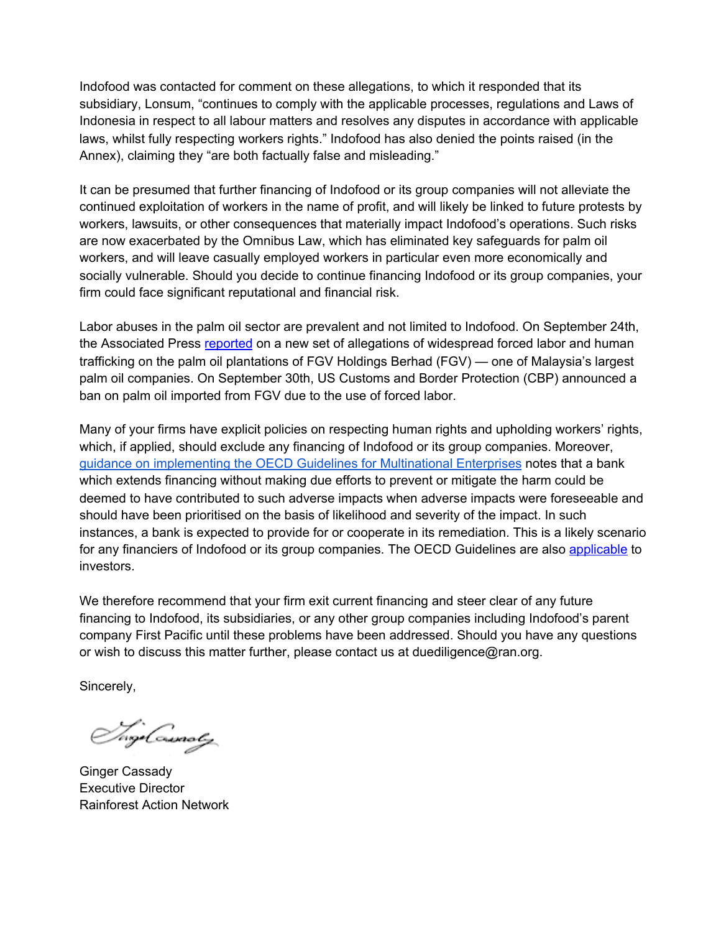Indofood was contacted for comment on these allegations, to which it responded that its subsidiary, Lonsum, "continues to comply with the applicable processes, regulations and Laws of Indonesia in respect to all labour matters and resolves any disputes in accordance with applicable laws, whilst fully respecting workers rights." Indofood has also denied the points raised (in the Annex), claiming they "are both factually false and misleading."

It can be presumed that further financing of Indofood or its group companies will not alleviate the continued exploitation of workers in the name of profit, and will likely be linked to future protests by workers, lawsuits, or other consequences that materially impact Indofood's operations. Such risks are now exacerbated by the Omnibus Law, which has eliminated key safeguards for palm oil workers, and will leave casually employed workers in particular even more economically and socially vulnerable. Should you decide to continue financing Indofood or its group companies, your firm could face significant reputational and financial risk.

Labor abuses in the palm oil sector are prevalent and not limited to Indofood. On September 24th, the Associated Press [reported](https://apnews.com/7b634596270cc6aa7578a062a30423bb) on a new set of allegations of widespread forced labor and human trafficking on the palm oil plantations of FGV Holdings Berhad (FGV) — one of Malaysia's largest palm oil companies. On September 30th, US Customs and Border Protection (CBP) announced a ban on palm oil imported from FGV due to the use of forced labor.

Many of your firms have explicit policies on respecting human rights and upholding workers' rights, which, if applied, should exclude any financing of Indofood or its group companies. Moreover, guidance on [implementing](https://www.oecd.org/daf/inv/mne/due-diligence-for-responsible-corporate-lending-and-securities-underwriting.htm) the OECD Guidelines for Multinational Enterprises notes that a bank which extends financing without making due efforts to prevent or mitigate the harm could be deemed to have contributed to such adverse impacts when adverse impacts were foreseeable and should have been prioritised on the basis of likelihood and severity of the impact. In such instances, a bank is expected to provide for or cooperate in its remediation. This is a likely scenario for any financiers of Indofood or its group companies. The OECD Guidelines are also [applicable](https://mneguidelines.oecd.org/RBC-for-Institutional-Investors.pdf) to investors.

We therefore recommend that your firm exit current financing and steer clear of any future financing to Indofood, its subsidiaries, or any other group companies including Indofood's parent company First Pacific until these problems have been addressed. Should you have any questions or wish to discuss this matter further, please contact us at duediligence@ran.org.

Sincerely,

/wgxCssaoly

Ginger Cassady Executive Director Rainforest Action Network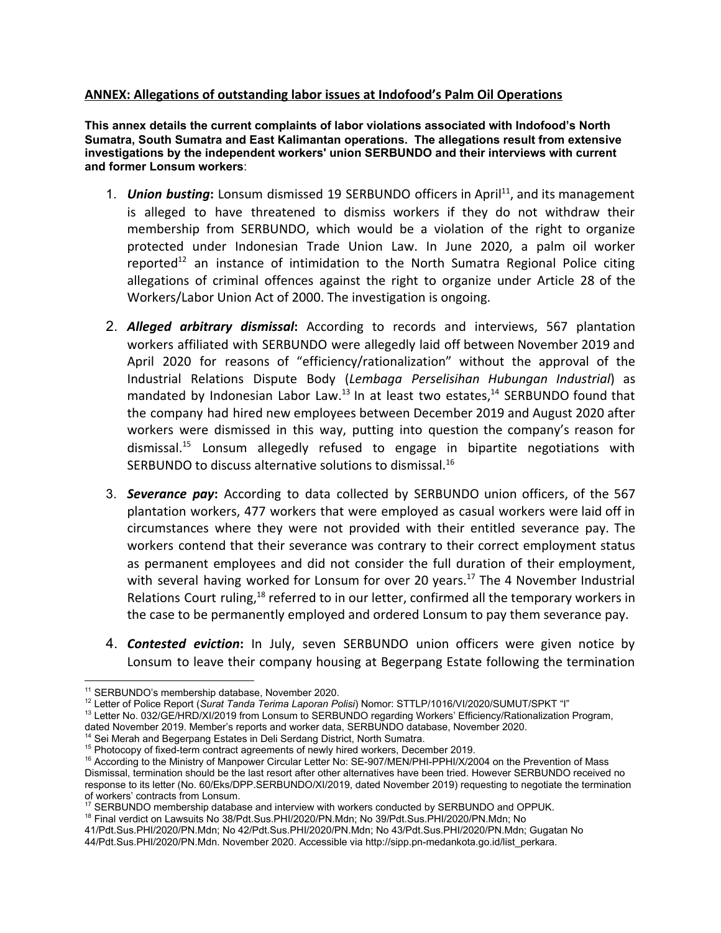## **ANNEX: Allegations of outstanding labor issues at Indofood's Palm Oil Operations**

**This annex details the current complaints of labor violations associated with Indofood's North Sumatra, South Sumatra and East Kalimantan operations. The allegations result from extensive investigations by the independent workers' union SERBUNDO and their interviews with current and former Lonsum workers**:

- 1. **Union busting:** Lonsum dismissed 19 SERBUNDO officers in April<sup>11</sup>, and its management is alleged to have threatened to dismiss workers if they do not withdraw their membership from SERBUNDO, which would be a violation of the right to organize protected under Indonesian Trade Union Law. In June 2020, a palm oil worker reported<sup>12</sup> an instance of intimidation to the North Sumatra Regional Police citing allegations of criminal offences against the right to organize under Article 28 of the Workers/Labor Union Act of 2000. The investigation is ongoing.
- 2. *Alleged arbitrary dismissal***:** According to records and interviews, 567 plantation workers affiliated with SERBUNDO were allegedly laid off between November 2019 and April 2020 for reasons of "efficiency/rationalization" without the approval of the Industrial Relations Dispute Body (*Lembaga Perselisihan Hubungan Industrial*) as mandated by Indonesian Labor Law.<sup>13</sup> In at least two estates,<sup>14</sup> SERBUNDO found that the company had hired new employees between December 2019 and August 2020 after workers were dismissed in this way, putting into question the company's reason for dismissal.<sup>15</sup> Lonsum allegedly refused to engage in bipartite negotiations with SERBUNDO to discuss alternative solutions to dismissal.<sup>16</sup>
- 3. *Severance pay***:** According to data collected by SERBUNDO union officers, of the 567 plantation workers, 477 workers that were employed as casual workers were laid off in circumstances where they were not provided with their entitled severance pay. The workers contend that their severance was contrary to their correct employment status as permanent employees and did not consider the full duration of their employment, with several having worked for Lonsum for over 20 years.<sup>17</sup> The 4 November Industrial Relations Court ruling,<sup>18</sup> referred to in our letter, confirmed all the temporary workers in the case to be permanently employed and ordered Lonsum to pay them severance pay.
- 4. *Contested eviction***:** In July, seven SERBUNDO union officers were given notice by Lonsum to leave their company housing at Begerpang Estate following the termination

<sup>18</sup> Final verdict on Lawsuits No 38/Pdt.Sus.PHI/2020/PN.Mdn; No 39/Pdt.Sus.PHI/2020/PN.Mdn; No

<sup>11</sup> SERBUNDO's membership database, November 2020.

<sup>12</sup> Letter of Police Report (*Surat Tanda Terima Laporan Polisi*) Nomor: STTLP/1016/VI/2020/SUMUT/SPKT "I"

<sup>&</sup>lt;sup>13</sup> Letter No. 032/GE/HRD/XI/2019 from Lonsum to SERBUNDO regarding Workers' Efficiency/Rationalization Program, dated November 2019. Member's reports and worker data, SERBUNDO database, November 2020.

<sup>&</sup>lt;sup>14</sup> Sei Merah and Begerpang Estates in Deli Serdang District, North Sumatra.

<sup>&</sup>lt;sup>15</sup> Photocopy of fixed-term contract agreements of newly hired workers, December 2019.

<sup>&</sup>lt;sup>16</sup> According to the Ministry of Manpower Circular Letter No: SE-907/MEN/PHI-PPHI/X/2004 on the Prevention of Mass Dismissal, termination should be the last resort after other alternatives have been tried. However SERBUNDO received no response to its letter (No. 60/Eks/DPP.SERBUNDO/XI/2019, dated November 2019) requesting to negotiate the termination of workers' contracts from Lonsum.

<sup>&</sup>lt;sup>17</sup> SERBUNDO membership database and interview with workers conducted by SERBUNDO and OPPUK.

<sup>41/</sup>Pdt.Sus.PHI/2020/PN.Mdn; No 42/Pdt.Sus.PHI/2020/PN.Mdn; No 43/Pdt.Sus.PHI/2020/PN.Mdn; Gugatan No 44/Pdt.Sus.PHI/2020/PN.Mdn. November 2020. Accessible via http://sipp.pn-medankota.go.id/list\_perkara.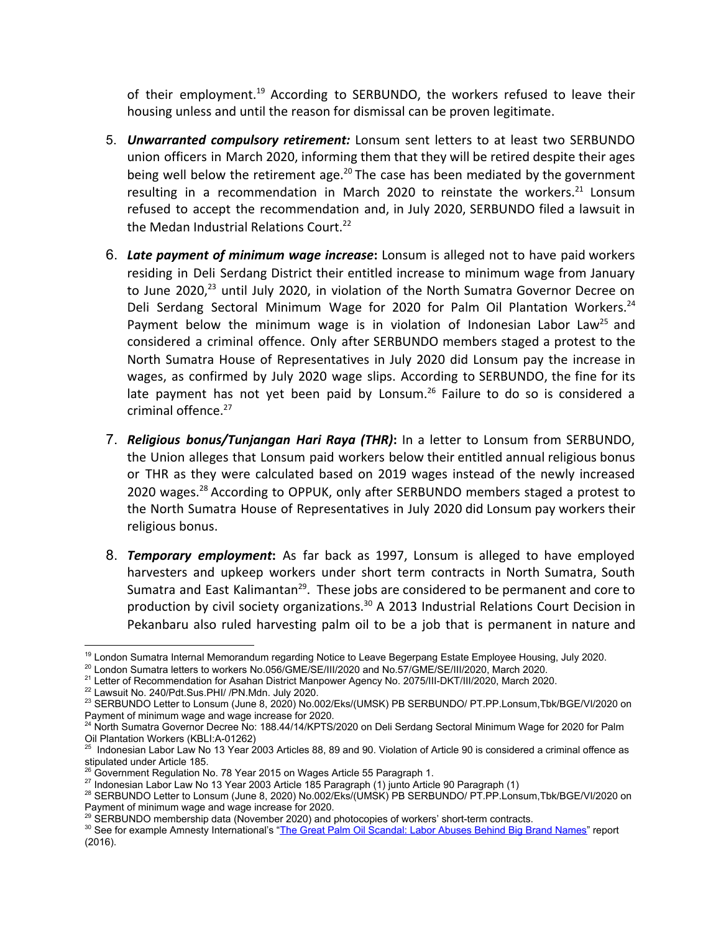of their employment.<sup>19</sup> According to SERBUNDO, the workers refused to leave their housing unless and until the reason for dismissal can be proven legitimate.

- 5. *Unwarranted compulsory retirement:* Lonsum sent letters to at least two SERBUNDO union officers in March 2020, informing them that they will be retired despite their ages being well below the retirement age.<sup>20</sup> The case has been mediated by the government resulting in a recommendation in March 2020 to reinstate the workers.<sup>21</sup> Lonsum refused to accept the recommendation and, in July 2020, SERBUNDO filed a lawsuit in the Medan Industrial Relations Court.<sup>22</sup>
- 6. *Late payment of minimum wage increase***:** Lonsum is alleged not to have paid workers residing in Deli Serdang District their entitled increase to minimum wage from January to June 2020, $^{23}$  until July 2020, in violation of the North Sumatra Governor Decree on Deli Serdang Sectoral Minimum Wage for 2020 for Palm Oil Plantation Workers.<sup>24</sup> Payment below the minimum wage is in violation of Indonesian Labor Law<sup>25</sup> and considered a criminal offence. Only after SERBUNDO members staged a protest to the North Sumatra House of Representatives in July 2020 did Lonsum pay the increase in wages, as confirmed by July 2020 wage slips. According to SERBUNDO, the fine for its late payment has not yet been paid by Lonsum.<sup>26</sup> Failure to do so is considered a criminal offence.<sup>27</sup>
- 7. *Religious bonus/Tunjangan Hari Raya (THR)***:** In a letter to Lonsum from SERBUNDO, the Union alleges that Lonsum paid workers below their entitled annual religious bonus or THR as they were calculated based on 2019 wages instead of the newly increased 2020 wages.<sup>28</sup> According to OPPUK, only after SERBUNDO members staged a protest to the North Sumatra House of Representatives in July 2020 did Lonsum pay workers their religious bonus.
- 8. *Temporary employment***:** As far back as 1997, Lonsum is alleged to have employed harvesters and upkeep workers under short term contracts in North Sumatra, South Sumatra and East Kalimantan<sup>29</sup>. These jobs are considered to be permanent and core to production by civil society organizations.<sup>30</sup> A 2013 Industrial Relations Court Decision in Pekanbaru also ruled harvesting palm oil to be a job that is permanent in nature and

<sup>&</sup>lt;sup>19</sup> London Sumatra Internal Memorandum regarding Notice to Leave Begerpang Estate Employee Housing, July 2020.

<sup>&</sup>lt;sup>20</sup> London Sumatra letters to workers No.056/GME/SE/III/2020 and No.57/GME/SE/III/2020, March 2020.

<sup>&</sup>lt;sup>21</sup> Letter of Recommendation for Asahan District Manpower Agency No. 2075/III-DKT/III/2020, March 2020.

<sup>22</sup> Lawsuit No. 240/Pdt.Sus.PHI/ /PN.Mdn. July 2020.

<sup>&</sup>lt;sup>23</sup> SERBUNDO Letter to Lonsum (June 8, 2020) No.002/Eks/(UMSK) PB SERBUNDO/ PT.PP.Lonsum,Tbk/BGE/VI/2020 on Payment of minimum wage and wage increase for 2020.

<sup>&</sup>lt;sup>24</sup> North Sumatra Governor Decree No: 188.44/14/KPTS/2020 on Deli Serdang Sectoral Minimum Wage for 2020 for Palm Oil Plantation Workers (KBLI:A-01262)

 $^{25}$  Indonesian Labor Law No 13 Year 2003 Articles 88, 89 and 90. Violation of Article 90 is considered a criminal offence as stipulated under Article 185.

 $26$  Government Regulation No. 78 Year 2015 on Wages Article 55 Paragraph 1.

<sup>&</sup>lt;sup>27</sup> Indonesian Labor Law No 13 Year 2003 Article 185 Paragraph (1) junto Article 90 Paragraph (1)

<sup>28</sup> SERBUNDO Letter to Lonsum (June 8, 2020) No.002/Eks/(UMSK) PB SERBUNDO/ PT.PP.Lonsum,Tbk/BGE/VI/2020 on Payment of minimum wage and wage increase for 2020.

 $29$  SERBUNDO membership data (November 2020) and photocopies of workers' short-term contracts.

<sup>&</sup>lt;sup>30</sup> See for example Amnesty International's "The Great Palm Oil [Scandal:](https://www.amnesty.org/en/latest/news/2016/11/palm-oil-global-brands-profiting-from-child-and-forced-labour/) Labor Abuses Behind Big Brand Names" report (2016).